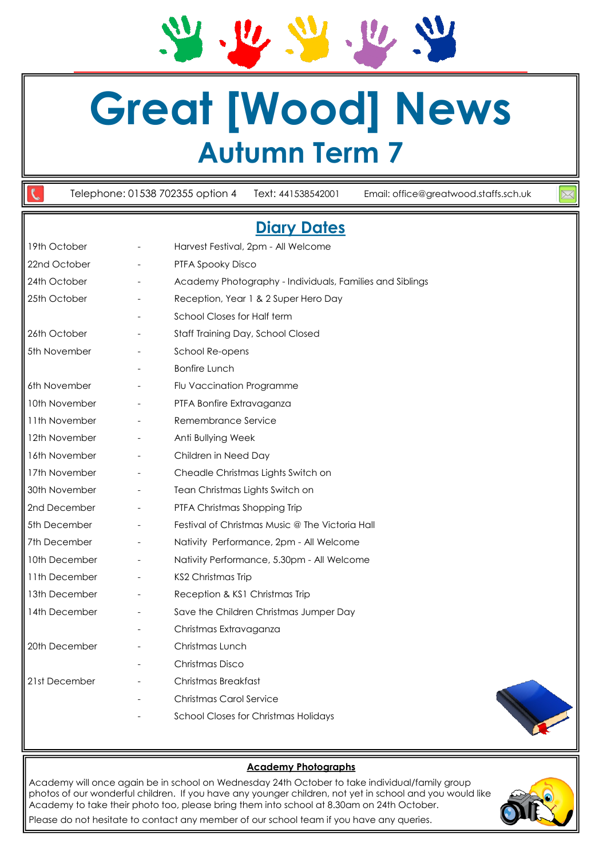**Great [Wood] News Autumn Term 7**

 $\mathbf{U}$ 

 $u$ </u>

Telephone: 01538 702355 option 4 Text: 441538542001 Email: office@greatwood.staffs.sch.uk

# **Diary Dates**

| 19th October  |                          | Harvest Festival, 2pm - All Welcome                      |
|---------------|--------------------------|----------------------------------------------------------|
| 22nd October  |                          | PTFA Spooky Disco                                        |
| 24th October  | $\overline{\phantom{a}}$ | Academy Photography - Individuals, Families and Siblings |
| 25th October  |                          | Reception, Year 1 & 2 Super Hero Day                     |
|               |                          | School Closes for Half term                              |
| 26th October  | $\overline{\phantom{a}}$ | Staff Training Day, School Closed                        |
| 5th November  |                          | School Re-opens                                          |
|               |                          | <b>Bonfire Lunch</b>                                     |
| 6th November  | $\overline{\phantom{a}}$ | Flu Vaccination Programme                                |
| 10th November |                          | PTFA Bonfire Extravaganza                                |
| 11th November |                          | Remembrance Service                                      |
| 12th November | $\overline{\phantom{a}}$ | Anti Bullying Week                                       |
| 16th November |                          | Children in Need Day                                     |
| 17th November | $\overline{\phantom{a}}$ | Cheadle Christmas Lights Switch on                       |
| 30th November | $\overline{\phantom{a}}$ | Tean Christmas Lights Switch on                          |
| 2nd December  |                          | PTFA Christmas Shopping Trip                             |
| 5th December  | $\blacksquare$           | Festival of Christmas Music @ The Victoria Hall          |
| 7th December  | $\overline{\phantom{a}}$ | Nativity Performance, 2pm - All Welcome                  |
| 10th December |                          | Nativity Performance, 5.30pm - All Welcome               |
| 11th December | $\overline{\phantom{a}}$ | KS2 Christmas Trip                                       |
| 13th December | $\overline{\phantom{a}}$ | Reception & KS1 Christmas Trip                           |
| 14th December |                          | Save the Children Christmas Jumper Day                   |
|               |                          | Christmas Extravaganza                                   |
| 20th December |                          | Christmas Lunch                                          |
|               |                          | Christmas Disco                                          |
| 21st December |                          | Christmas Breakfast                                      |
|               |                          | <b>Christmas Carol Service</b>                           |
|               |                          | <b>School Closes for Christmas Holidays</b>              |
|               |                          |                                                          |



## **Academy Photographs**

Academy will once again be in school on Wednesday 24th October to take individual/family group photos of our wonderful children. If you have any younger children, not yet in school and you would like Academy to take their photo too, please bring them into school at 8.30am on 24th October.



Please do not hesitate to contact any member of our school team if you have any queries.